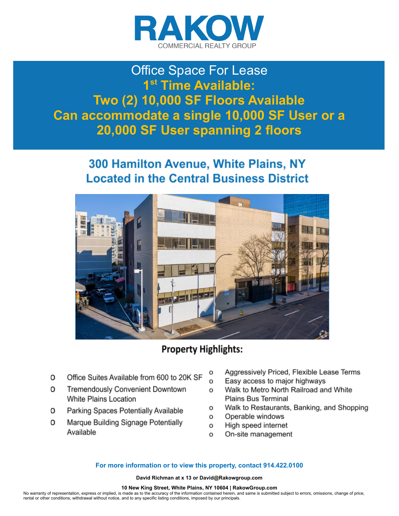

## Office Space For Lease **1st Time Available: Two (2) 10,000 SF Floors Available Can accommodate a single 10,000 SF User or a 20,000 SF User spanning 2 floors**

### 300 Hamilton Avenue, White Plains, NY **Located in the Central Business District**



### **Property Highlights:**

- Office Suites Available from 600 to 20K SF 0
- Tremendously Convenient Downtown 0 White Plains Location
- Parking Spaces Potentially Available 0
- O Marque Building Signage Potentially Available
- Aggressively Priced, Flexible Lease Terms o
- Easy access to major highways o
- Walk to Metro North Railroad and White o **Plains Bus Terminal**
- o Walk to Restaurants, Banking, and Shopping
- Operable windows o
- High speed internet o
- On-site management o

#### **For more information or to view this property, contact 914.422.0100**

**David Richman at x 13 or David@Rakowgroup.com** 

#### **10 New King Street, White Plains, NY 10604 | RakowGroup.com**

No warranty of representation, express or implied, is made as to the accuracy of the information contained herein, and same is submitted subject to errors, omissions, change of price, rental or other conditions, withdrawal without notice, and to any specific listing conditions, imposed by our principals.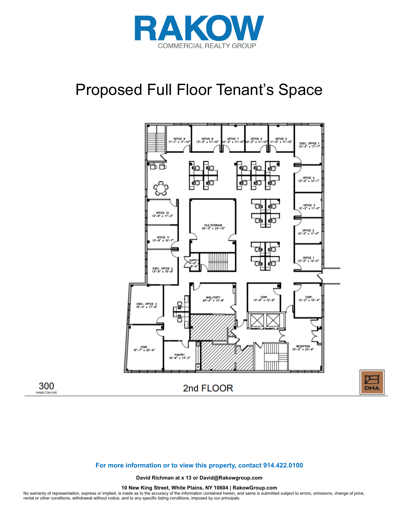

# Proposed Full Floor Tenant's Space



**DNA** 

#### **For more information or to view this property, contact 914.422.0100**

300

**AMILTON AV** 

**David Richman at x 13 or David@Rakowgroup.com** 

**10 New King Street, White Plains, NY 10604 | RakowGroup.com** 

No warranty of representation, express or implied, is made as to the accuracy of the information contained herein, and same is submitted subject to errors, omissions, change of price,<br>rental or other conditions, withdrawal